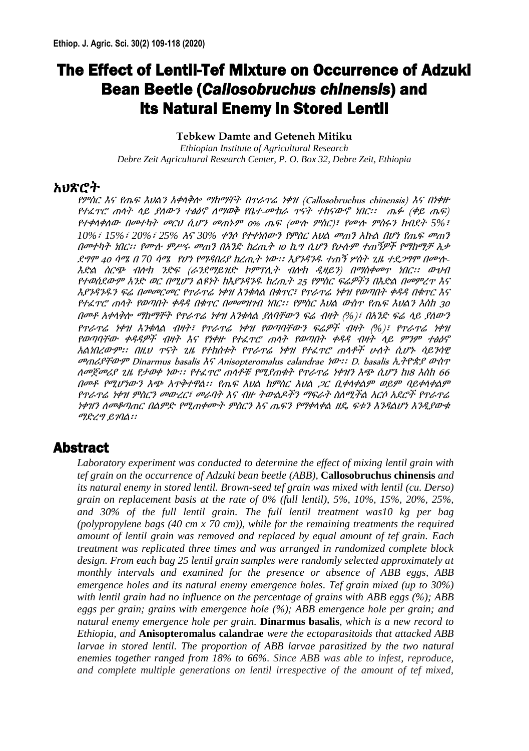# The Effect of Lentil-Tef Mixture on Occurrence of Adzuki Bean Beetle (*Callosobruchus chinensis*) and its Natural Enemy in Stored Lentil

#### **Tebkew Damte and Geteneh Mitiku**

*Ethiopian Institute of Agricultural Research Debre Zeit Agricultural Research Center, P. O. Box 32, Debre Zeit, Ethiopia*

#### አህጽሮት

የምስር እና የጤፍ እህልን አቀላቅሎ ማከማቸት በጥራጥሬ ነቀዝ (Callosobruchus chinensis) እና በነቀዙ የተፈጥሮ ጠላት ላይ ያለውን ተፅዕኖ ለማወቅ የቤተ-ሙከራ ጥናት ተከናውኖ ነበር፡፡ ጤፉ (ቀይ ጤፍ) የተቀላቀለው በመተካት መርህ ሲሆን መጠኑም 0% ጤፍ (ሙሉ ምስር)፣ የሙሉ ምስሩን ክብደት *5%*፣ *10%*፣ *15%*፣ *20%*፣ *25%* እና *30%* ቀንሶ የተቀነሰውን የምስር እህል መጠን እኩል በሆነ የጤፍ መጠን በመተካት ነበር፡፡ የሙሉ ምሥሩ መጠን በአንድ ከረጢት <sup>10</sup> ኪግ ሲሆን የሁሉም ተጠኝዎች የማከማቻ እቃ ደግሞ <sup>40</sup>ሳሜ <sup>በ</sup> *70* ሳሜ የሆነ የማዳበሪያ ከረጢት ነው፡፡ እያንዳንዱ ተጠኝ ሦስት ጊዜ ተደጋግሞ በሙሉ-እድል ስርጭ ብሎክ ንድፍ (ራንደማይዝድ ኮምፕሊት ብሎክ ዲዛይን) በማስቀመጥ ነበር፡፡ ውህብ የተወሰደውም አንድ ወር በሚሆን ልዩነት ከእያንዳንዱ ከረጢት <sup>25</sup>የምስር ፍሬዎችን በእድል በመምረጥ እና እያንዳንዱን ፍሬ በመመርመር የጥራጥሬ ነቀዝ እንቁላል በቁጥር፣ የጥራጥሬ ነቀዝ የወጣበት ቀዳዳ በቁጥር እና የተፈጥሮ ጠላት የወጣበት ቀዳዳ በቁጥር በመመዝገብ ነበር፡፡ የምስር እህል ውስጥ የጤፍ እህልን እስከ 30 በመቶ አቀላቅሎ ማከማቸት የጥራጥሬ ነቀዝ እንቁላል ያለባቸውን ፍሬ ብዛት (*%*)፣ በአንድ ፍሬ ላይ ያለውን የጥራጥሬ ነቀዝ እንቁላል ብዛት፣ የጥራጥሬ ነቀዝ የወጣባቸውን ፍሬዎች ብዛት (*%*)፣ የጥራጥሬ ነቀዝ የወጣባቸው ቀዳዳዎች ብዛት እና የነቀዙ የተፈጥሮ ጠላት የወጣበት ቀዳዳ ብዛት ላይ ምንም ተፅዕኖ አልነበረውም፡፡ በዚህ ጥናት ጊዜ የተከሰቱት የጥራጥሬ ነቀዝ የተፈጥሮ ጠላቶች ሁለት ሲሆኑ ሳይንሳዊ መጠሪያቸውም Dinarmus basalis እና Anisopteromalus calandrae ነው፡፡ D. basalis ኢትዮጵያ ውስጥ ለመጀመሪያ ጊዜ የታወቀ ነው፡፡ የተፈጥሮ ጠላቶቹ የሚያጠቁት የጥራጥሬ ነቀዝን እጭ ሲሆን ከ18 እስከ 66 በመቶ የሚሆነውን እጭ አጥቅተዋል፡፡ የጤፍ እህል ከምስር እህል ጋር ቢቀላቀልም ወይም ባይቀላቀልም የጥራጥሬ ነቀዝ ምስርን መውረር፣ መራባት እና ብዙ ትውልዶችን ማፍራት ስለሚችል አርሶ አደሮች የጥራጥሬ ነቀዝን ለመቆጣጠር በልምድ የሚጠቀሙት ምስርን እና ጤፍን የማቀላቀል ዘዴ ፍቱን እንዳልሆነ እንዲያውቁ ማድረግ ይገባል፡፡

## Abstract

*Laboratory experiment was conducted to determine the effect of mixing lentil grain with tef grain on the occurrence of Adzuki bean beetle (ABB),* **Callosobruchus chinensis** *and its natural enemy in stored lentil. Brown-seed tef grain was mixed with lentil (cu. Derso) grain on replacement basis at the rate of 0% (full lentil), 5%, 10%, 15%, 20%, 25%, and 30% of the full lentil grain. The full lentil treatment was10 kg per bag (polypropylene bags (40 cm x 70 cm)), while for the remaining treatments the required amount of lentil grain was removed and replaced by equal amount of tef grain. Each treatment was replicated three times and was arranged in randomized complete block design. From each bag 25 lentil grain samples were randomly selected approximately at monthly intervals and examined for the presence or absence of ABB eggs, ABB emergence holes and its natural enemy emergence holes. Tef grain mixed (up to 30%) with lentil grain had no influence on the percentage of grains with ABB eggs (%); ABB eggs per grain; grains with emergence hole (%); ABB emergence hole per grain; and natural enemy emergence hole per grain.* **Dinarmus basalis***, which is a new record to Ethiopia, and* **Anisopteromalus calandrae** *were the ectoparasitoids that attacked ABB larvae in stored lentil. The proportion of ABB larvae parasitized by the two natural enemies together ranged from 18% to 66%. Since ABB was able to infest, reproduce, and complete multiple generations on lentil irrespective of the amount of tef mixed,*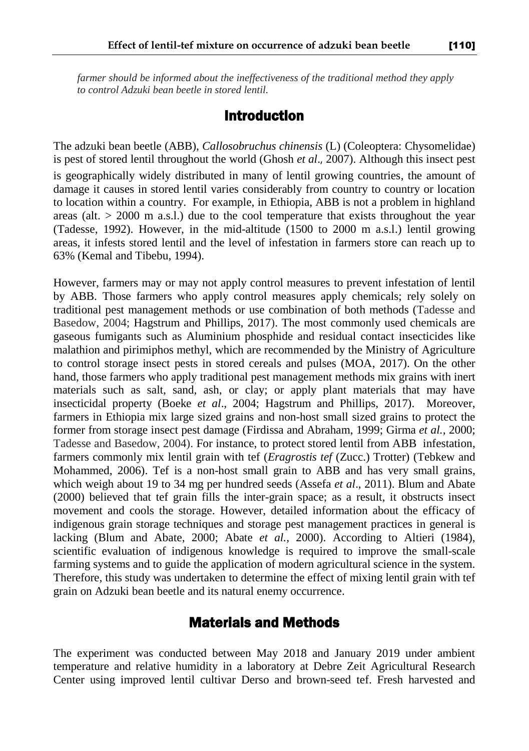*farmer should be informed about the ineffectiveness of the traditional method they apply to control Adzuki bean beetle in stored lentil.*

### Introduction

The adzuki bean beetle (ABB), *Callosobruchus chinensis* (L) (Coleoptera: Chysomelidae) is pest of stored lentil throughout the world (Ghosh *et al*., 2007). Although this insect pest is geographically widely distributed in many of lentil growing countries, the amount of damage it causes in stored lentil varies considerably from country to country or location to location within a country. For example, in Ethiopia, ABB is not a problem in highland areas (alt.  $> 2000$  m a.s.l.) due to the cool temperature that exists throughout the year (Tadesse, 1992). However, in the mid-altitude (1500 to 2000 m a.s.l.) lentil growing areas, it infests stored lentil and the level of infestation in farmers store can reach up to 63% (Kemal and Tibebu, 1994).

However, farmers may or may not apply control measures to prevent infestation of lentil by ABB. Those farmers who apply control measures apply chemicals; rely solely on traditional pest management methods or use combination of both methods (Tadesse and Basedow, 2004; Hagstrum and Phillips, 2017). The most commonly used chemicals are gaseous fumigants such as Aluminium phosphide and residual contact insecticides like malathion and pirimiphos methyl, which are recommended by the Ministry of Agriculture to control storage insect pests in stored cereals and pulses (MOA, 2017). On the other hand, those farmers who apply traditional pest management methods mix grains with inert materials such as salt, sand, ash, or clay; or apply plant materials that may have insecticidal property (Boeke *et al*., 2004; Hagstrum and Phillips, 2017). Moreover, farmers in Ethiopia mix large sized grains and non-host small sized grains to protect the former from storage insect pest damage (Firdissa and Abraham, 1999; Girma *et al.,* 2000; Tadesse and Basedow, 2004). For instance, to protect stored lentil from ABB infestation, farmers commonly mix lentil grain with tef (*Eragrostis tef* (Zucc.) Trotter) (Tebkew and Mohammed, 2006). Tef is a non-host small grain to ABB and has very small grains, which weigh about 19 to 34 mg per hundred seeds (Assefa *et al*., 2011). Blum and Abate (2000) believed that tef grain fills the inter-grain space; as a result, it obstructs insect movement and cools the storage. However, detailed information about the efficacy of indigenous grain storage techniques and storage pest management practices in general is lacking (Blum and Abate, 2000; Abate *et al.,* 2000). According to Altieri (1984), scientific evaluation of indigenous knowledge is required to improve the small-scale farming systems and to guide the application of modern agricultural science in the system. Therefore, this study was undertaken to determine the effect of mixing lentil grain with tef grain on Adzuki bean beetle and its natural enemy occurrence.

# Materials and Methods

The experiment was conducted between May 2018 and January 2019 under ambient temperature and relative humidity in a laboratory at Debre Zeit Agricultural Research Center using improved lentil cultivar Derso and brown-seed tef. Fresh harvested and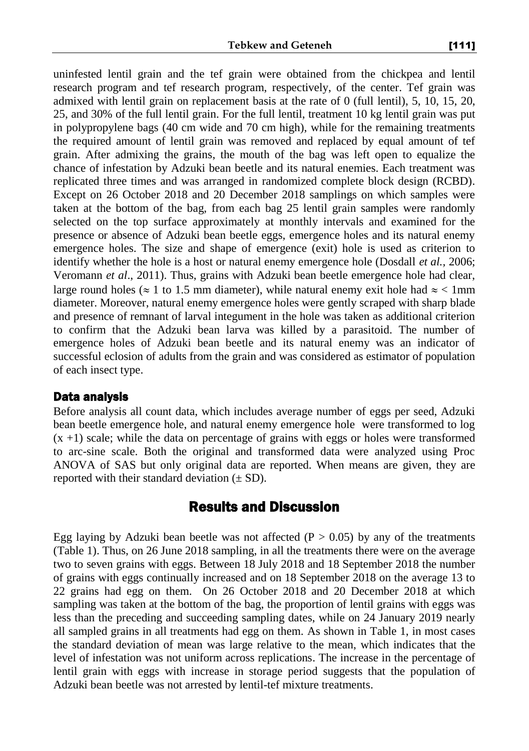uninfested lentil grain and the tef grain were obtained from the chickpea and lentil research program and tef research program, respectively, of the center. Tef grain was admixed with lentil grain on replacement basis at the rate of 0 (full lentil), 5, 10, 15, 20, 25, and 30% of the full lentil grain. For the full lentil, treatment 10 kg lentil grain was put in polypropylene bags (40 cm wide and 70 cm high), while for the remaining treatments the required amount of lentil grain was removed and replaced by equal amount of tef grain. After admixing the grains, the mouth of the bag was left open to equalize the chance of infestation by Adzuki bean beetle and its natural enemies. Each treatment was replicated three times and was arranged in randomized complete block design (RCBD). Except on 26 October 2018 and 20 December 2018 samplings on which samples were taken at the bottom of the bag, from each bag 25 lentil grain samples were randomly selected on the top surface approximately at monthly intervals and examined for the presence or absence of Adzuki bean beetle eggs, emergence holes and its natural enemy emergence holes. The size and shape of emergence (exit) hole is used as criterion to identify whether the hole is a host or natural enemy emergence hole (Dosdall *et al.,* 2006; Veromann *et al*., 2011). Thus, grains with Adzuki bean beetle emergence hole had clear, large round holes ( $\approx 1$  to 1.5 mm diameter), while natural enemy exit hole had  $\approx$  < 1mm diameter. Moreover, natural enemy emergence holes were gently scraped with sharp blade and presence of remnant of larval integument in the hole was taken as additional criterion to confirm that the Adzuki bean larva was killed by a parasitoid. The number of emergence holes of Adzuki bean beetle and its natural enemy was an indicator of successful eclosion of adults from the grain and was considered as estimator of population of each insect type.

#### Data analysis

Before analysis all count data, which includes average number of eggs per seed, Adzuki bean beetle emergence hole, and natural enemy emergence hole were transformed to log  $(x +1)$  scale; while the data on percentage of grains with eggs or holes were transformed to arc-sine scale. Both the original and transformed data were analyzed using Proc ANOVA of SAS but only original data are reported. When means are given, they are reported with their standard deviation  $(\pm SD)$ .

### Results and Discussion

Egg laying by Adzuki bean beetle was not affected  $(P > 0.05)$  by any of the treatments (Table 1). Thus, on 26 June 2018 sampling, in all the treatments there were on the average two to seven grains with eggs. Between 18 July 2018 and 18 September 2018 the number of grains with eggs continually increased and on 18 September 2018 on the average 13 to 22 grains had egg on them. On 26 October 2018 and 20 December 2018 at which sampling was taken at the bottom of the bag, the proportion of lentil grains with eggs was less than the preceding and succeeding sampling dates, while on 24 January 2019 nearly all sampled grains in all treatments had egg on them. As shown in Table 1, in most cases the standard deviation of mean was large relative to the mean, which indicates that the level of infestation was not uniform across replications. The increase in the percentage of lentil grain with eggs with increase in storage period suggests that the population of Adzuki bean beetle was not arrested by lentil-tef mixture treatments.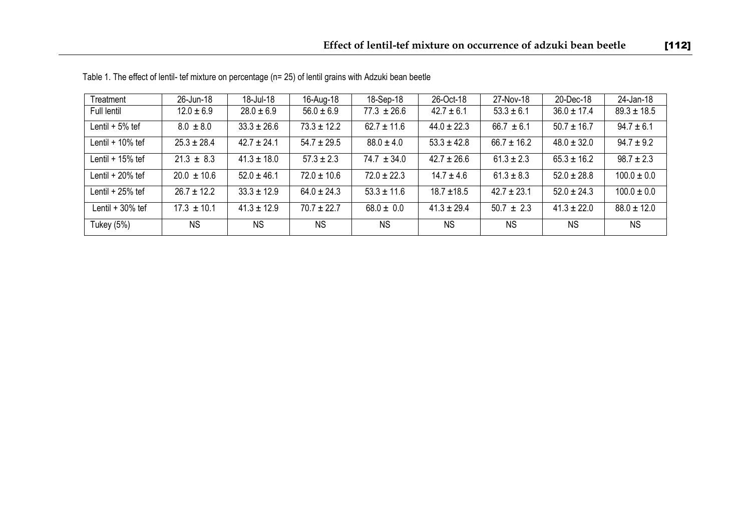| Treatment         | 26-Jun-18       | 18-Jul-18       | 16-Aug-18       | 18-Sep-18       | 26-Oct-18       | 27-Nov-18       | 20-Dec-18       | 24-Jan-18       |
|-------------------|-----------------|-----------------|-----------------|-----------------|-----------------|-----------------|-----------------|-----------------|
| Full lentil       | $12.0 \pm 6.9$  | $28.0 \pm 6.9$  | $56.0 \pm 6.9$  | $77.3 \pm 26.6$ | $42.7 \pm 6.1$  | $53.3 \pm 6.1$  | $36.0 \pm 17.4$ | $89.3 \pm 18.5$ |
| Lentil $+5%$ tef  | $8.0 \pm 8.0$   | $33.3 \pm 26.6$ | $73.3 \pm 12.2$ | $62.7 \pm 11.6$ | $44.0 \pm 22.3$ | $66.7 \pm 6.1$  | $50.7 \pm 16.7$ | $94.7 \pm 6.1$  |
| Lentil $+10%$ tef | $25.3 \pm 28.4$ | $42.7 \pm 24.1$ | $54.7 \pm 29.5$ | $88.0 \pm 4.0$  | $53.3 \pm 42.8$ | $66.7 \pm 16.2$ | $48.0 \pm 32.0$ | $94.7 \pm 9.2$  |
| Lentil $+15%$ tef | $21.3 \pm 8.3$  | $41.3 \pm 18.0$ | $57.3 \pm 2.3$  | $74.7 \pm 34.0$ | $42.7 \pm 26.6$ | $61.3 \pm 2.3$  | $65.3 \pm 16.2$ | $98.7 \pm 2.3$  |
| Lentil $+20%$ tef | $20.0 \pm 10.6$ | $52.0 \pm 46.1$ | $72.0 \pm 10.6$ | $72.0 \pm 22.3$ | $14.7 \pm 4.6$  | $61.3 \pm 8.3$  | $52.0 \pm 28.8$ | $100.0 \pm 0.0$ |
| Lentil + 25% tef  | $26.7 \pm 12.2$ | $33.3 \pm 12.9$ | $64.0 \pm 24.3$ | $53.3 \pm 11.6$ | $18.7 \pm 18.5$ | $42.7 \pm 23.1$ | $52.0 \pm 24.3$ | $100.0 \pm 0.0$ |
| Lentil $+30%$ tef | $17.3 \pm 10.1$ | $41.3 \pm 12.9$ | $70.7 \pm 22.7$ | $68.0 \pm 0.0$  | $41.3 \pm 29.4$ | $50.7 \pm 2.3$  | $41.3 \pm 22.0$ | $88.0 \pm 12.0$ |
| Tukey (5%)        | <b>NS</b>       | <b>NS</b>       | <b>NS</b>       | <b>NS</b>       | <b>NS</b>       | <b>NS</b>       | <b>NS</b>       | <b>NS</b>       |

Table 1. The effect of lentil- tef mixture on percentage (n= 25) of lentil grains with Adzuki bean beetle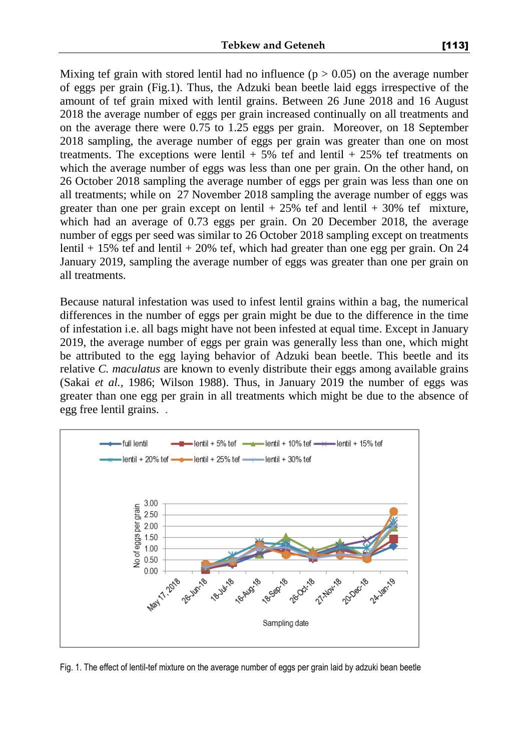Mixing tef grain with stored lentil had no influence ( $p > 0.05$ ) on the average number of eggs per grain (Fig.1). Thus, the Adzuki bean beetle laid eggs irrespective of the amount of tef grain mixed with lentil grains. Between 26 June 2018 and 16 August 2018 the average number of eggs per grain increased continually on all treatments and on the average there were 0.75 to 1.25 eggs per grain. Moreover, on 18 September 2018 sampling, the average number of eggs per grain was greater than one on most treatments. The exceptions were lentil  $+5\%$  tef and lentil  $+25\%$  tef treatments on which the average number of eggs was less than one per grain. On the other hand, on 26 October 2018 sampling the average number of eggs per grain was less than one on all treatments; while on 27 November 2018 sampling the average number of eggs was greater than one per grain except on lentil  $+ 25\%$  tef and lentil  $+ 30\%$  tef mixture, which had an average of 0.73 eggs per grain. On 20 December 2018, the average number of eggs per seed was similar to 26 October 2018 sampling except on treatments lentil  $+ 15\%$  tef and lentil  $+ 20\%$  tef, which had greater than one egg per grain. On 24 January 2019, sampling the average number of eggs was greater than one per grain on all treatments.

Because natural infestation was used to infest lentil grains within a bag, the numerical differences in the number of eggs per grain might be due to the difference in the time of infestation i.e. all bags might have not been infested at equal time. Except in January 2019, the average number of eggs per grain was generally less than one, which might be attributed to the egg laying behavior of Adzuki bean beetle. This beetle and its relative *C. maculatus* are known to evenly distribute their eggs among available grains (Sakai *et al.,* 1986; Wilson 1988). Thus, in January 2019 the number of eggs was greater than one egg per grain in all treatments which might be due to the absence of egg free lentil grains. .



Fig. 1. The effect of lentil-tef mixture on the average number of eggs per grain laid by adzuki bean beetle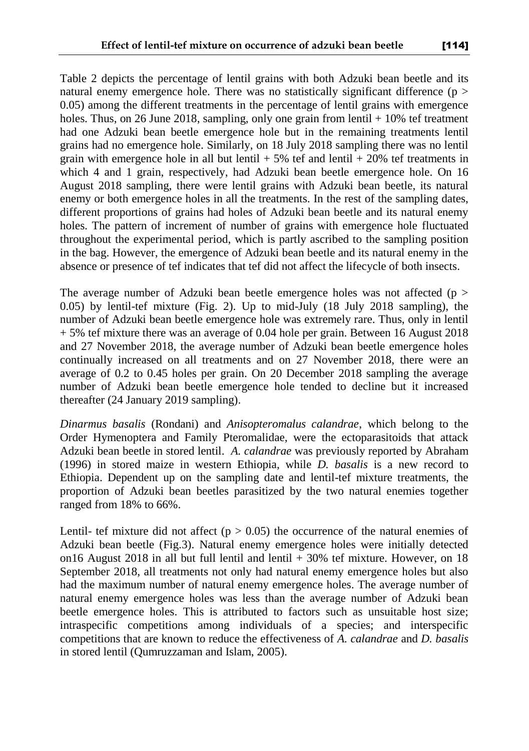Table 2 depicts the percentage of lentil grains with both Adzuki bean beetle and its natural enemy emergence hole. There was no statistically significant difference ( $p >$ 0.05) among the different treatments in the percentage of lentil grains with emergence holes. Thus, on 26 June 2018, sampling, only one grain from lentil  $+10\%$  tef treatment had one Adzuki bean beetle emergence hole but in the remaining treatments lentil grains had no emergence hole. Similarly, on 18 July 2018 sampling there was no lentil grain with emergence hole in all but lentil  $+ 5\%$  tef and lentil  $+ 20\%$  tef treatments in which 4 and 1 grain, respectively, had Adzuki bean beetle emergence hole. On 16 August 2018 sampling, there were lentil grains with Adzuki bean beetle, its natural enemy or both emergence holes in all the treatments. In the rest of the sampling dates, different proportions of grains had holes of Adzuki bean beetle and its natural enemy holes. The pattern of increment of number of grains with emergence hole fluctuated throughout the experimental period, which is partly ascribed to the sampling position in the bag. However, the emergence of Adzuki bean beetle and its natural enemy in the absence or presence of tef indicates that tef did not affect the lifecycle of both insects.

The average number of Adzuki bean beetle emergence holes was not affected ( $p >$ 0.05) by lentil-tef mixture (Fig. 2). Up to mid-July (18 July 2018 sampling), the number of Adzuki bean beetle emergence hole was extremely rare. Thus, only in lentil + 5% tef mixture there was an average of 0.04 hole per grain. Between 16 August 2018 and 27 November 2018, the average number of Adzuki bean beetle emergence holes continually increased on all treatments and on 27 November 2018, there were an average of 0.2 to 0.45 holes per grain. On 20 December 2018 sampling the average number of Adzuki bean beetle emergence hole tended to decline but it increased thereafter (24 January 2019 sampling).

*Dinarmus basalis* (Rondani) and *Anisopteromalus calandrae*, which belong to the Order Hymenoptera and Family Pteromalidae, were the ectoparasitoids that attack Adzuki bean beetle in stored lentil. *A. calandrae* was previously reported by Abraham (1996) in stored maize in western Ethiopia, while *D. basalis* is a new record to Ethiopia. Dependent up on the sampling date and lentil-tef mixture treatments, the proportion of Adzuki bean beetles parasitized by the two natural enemies together ranged from 18% to 66%.

Lentil- tef mixture did not affect ( $p > 0.05$ ) the occurrence of the natural enemies of Adzuki bean beetle (Fig.3). Natural enemy emergence holes were initially detected on16 August 2018 in all but full lentil and lentil + 30% tef mixture. However, on 18 September 2018, all treatments not only had natural enemy emergence holes but also had the maximum number of natural enemy emergence holes. The average number of natural enemy emergence holes was less than the average number of Adzuki bean beetle emergence holes. This is attributed to factors such as unsuitable host size; intraspecific competitions among individuals of a species; and interspecific competitions that are known to reduce the effectiveness of *A. calandrae* and *D. basalis* in stored lentil (Qumruzzaman and Islam, 2005).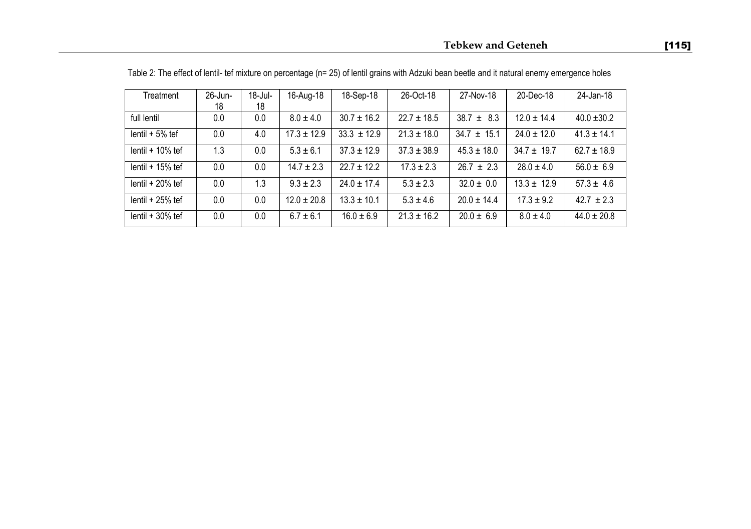| Treatment          | 26-Jun- | 18-Jul- | 16-Aug-18       | 18-Sep-18       | 26-Oct-18       | 27-Nov-18       | 20-Dec-18       | 24-Jan-18       |
|--------------------|---------|---------|-----------------|-----------------|-----------------|-----------------|-----------------|-----------------|
|                    | 18      | 18      |                 |                 |                 |                 |                 |                 |
| full lentil        | 0.0     | 0.0     | $8.0 \pm 4.0$   | $30.7 \pm 16.2$ | $22.7 \pm 18.5$ | $38.7 \pm 8.3$  | $12.0 \pm 14.4$ | $40.0 \pm 30.2$ |
| lentil $+5%$ tef   | 0.0     | 4.0     | $17.3 \pm 12.9$ | $33.3 \pm 12.9$ | $21.3 \pm 18.0$ | $34.7 \pm 15.1$ | $24.0 \pm 12.0$ | $41.3 \pm 14.1$ |
| lentil $+10\%$ tef | 1.3     | 0.0     | $5.3 \pm 6.1$   | $37.3 \pm 12.9$ | $37.3 \pm 38.9$ | $45.3 \pm 18.0$ | $34.7 \pm 19.7$ | $62.7 \pm 18.9$ |
| lentil $+15%$ tef  | 0.0     | 0.0     | $14.7 \pm 2.3$  | $22.7 \pm 12.2$ | $17.3 \pm 2.3$  | $26.7 \pm 2.3$  | $28.0 \pm 4.0$  | $56.0 \pm 6.9$  |
| lentil $+20%$ tef  | 0.0     | 1.3     | $9.3 \pm 2.3$   | $24.0 \pm 17.4$ | $5.3 \pm 2.3$   | $32.0 \pm 0.0$  | $13.3 \pm 12.9$ | $57.3 \pm 4.6$  |
| lentil $+25%$ tef  | 0.0     | 0.0     | $12.0 \pm 20.8$ | $13.3 \pm 10.1$ | $5.3 \pm 4.6$   | $20.0 \pm 14.4$ | $17.3 \pm 9.2$  | $42.7 \pm 2.3$  |
| lentil $+30%$ tef  | 0.0     | 0.0     | $6.7 \pm 6.1$   | $16.0 \pm 6.9$  | $21.3 \pm 16.2$ | $20.0 \pm 6.9$  | $8.0 \pm 4.0$   | $44.0 \pm 20.8$ |

Table 2: The effect of lentil- tef mixture on percentage (n= 25) of lentil grains with Adzuki bean beetle and it natural enemy emergence holes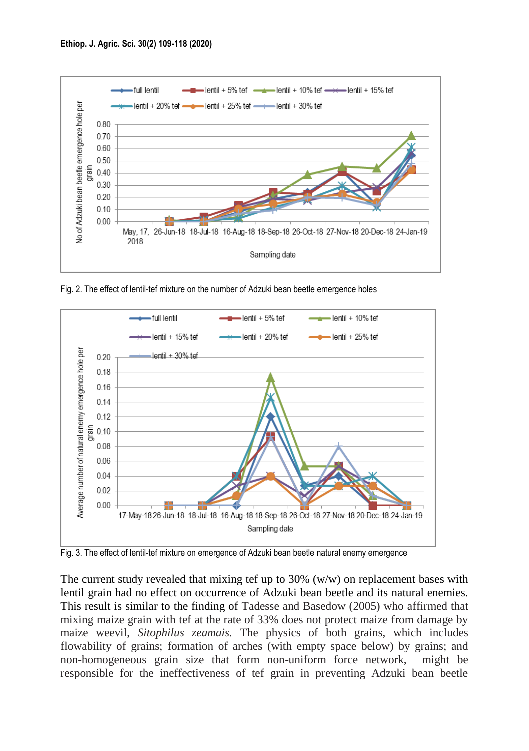

Fig. 2. The effect of lentil-tef mixture on the number of Adzuki bean beetle emergence holes



Fig. 3. The effect of lentil-tef mixture on emergence of Adzuki bean beetle natural enemy emergence

The current study revealed that mixing tef up to  $30\%$  (w/w) on replacement bases with lentil grain had no effect on occurrence of Adzuki bean beetle and its natural enemies. This result is similar to the finding of Tadesse and Basedow (2005) who affirmed that mixing maize grain with tef at the rate of 33% does not protect maize from damage by maize weevil, *Sitophilus zeamais.* The physics of both grains, which includes flowability of grains; formation of arches (with empty space below) by grains; and non-homogeneous grain size that form non-uniform force network, might be responsible for the ineffectiveness of tef grain in preventing Adzuki bean beetle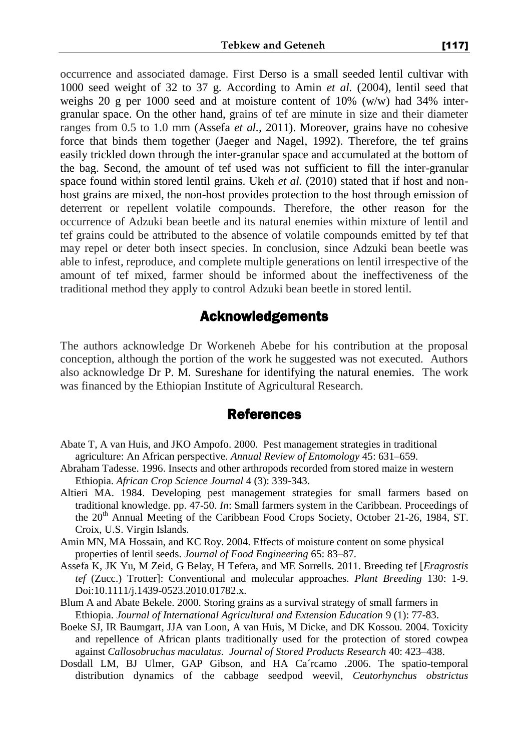occurrence and associated damage. First Derso is a small seeded lentil cultivar with 1000 seed weight of 32 to 37 g. According to Amin *et al.* (2004), lentil seed that weighs 20 g per 1000 seed and at moisture content of  $10\%$  (w/w) had 34% intergranular space. On the other hand, grains of tef are minute in size and their diameter ranges from 0.5 to 1.0 mm (Assefa *et al.,* 2011). Moreover, grains have no cohesive force that binds them together (Jaeger and Nagel, 1992). Therefore, the tef grains easily trickled down through the inter-granular space and accumulated at the bottom of the bag. Second, the amount of tef used was not sufficient to fill the inter-granular space found within stored lentil grains. Ukeh *et al.* (2010) stated that if host and nonhost grains are mixed, the non-host provides protection to the host through emission of deterrent or repellent volatile compounds. Therefore, the other reason for the occurrence of Adzuki bean beetle and its natural enemies within mixture of lentil and tef grains could be attributed to the absence of volatile compounds emitted by tef that may repel or deter both insect species. In conclusion, since Adzuki bean beetle was able to infest, reproduce, and complete multiple generations on lentil irrespective of the amount of tef mixed, farmer should be informed about the ineffectiveness of the traditional method they apply to control Adzuki bean beetle in stored lentil.

### Acknowledgements

The authors acknowledge Dr Workeneh Abebe for his contribution at the proposal conception, although the portion of the work he suggested was not executed. Authors also acknowledge Dr P. M. Sureshane for identifying the natural enemies. The work was financed by the Ethiopian Institute of Agricultural Research.

### References

- Abate T, A van Huis, and JKO Ampofo. 2000. Pest management strategies in traditional agriculture: An African perspective. *Annual Review of Entomology* 45: 631–659.
- Abraham Tadesse. 1996. Insects and other arthropods recorded from stored maize in western Ethiopia. *African Crop Science Journal* 4 (3): 339-343.
- Altieri MA. 1984. Developing pest management strategies for small farmers based on traditional knowledge. pp. 47-50. *In*: Small farmers system in the Caribbean. Proceedings of the 20<sup>th</sup> Annual Meeting of the Caribbean Food Crops Society, October 21-26, 1984, ST. Croix, U.S. Virgin Islands.
- Amin MN, MA Hossain, and KC Roy. 2004. Effects of moisture content on some physical properties of lentil seeds. *Journal of Food Engineering* 65: 83–87.
- Assefa K, JK Yu, M Zeid, G Belay, H Tefera, and ME Sorrells. 2011. Breeding tef [*Eragrostis tef* (Zucc.) Trotter]: Conventional and molecular approaches. *Plant Breeding* 130: 1-9. Doi:10.1111/j.1439-0523.2010.01782.x.
- Blum A and Abate Bekele. 2000. Storing grains as a survival strategy of small farmers in Ethiopia. *Journal of International Agricultural and Extension Education* 9 (1): 77-83.
- Boeke SJ, IR Baumgart, JJA van Loon, A van Huis, M Dicke, and DK Kossou. 2004. Toxicity and repellence of African plants traditionally used for the protection of stored cowpea against *Callosobruchus maculatus. Journal of Stored Products Research* 40: 423–438.
- Dosdall LM, BJ Ulmer, GAP Gibson, and HA Ca´rcamo .2006. The spatio-temporal distribution dynamics of the cabbage seedpod weevil, *Ceutorhynchus obstrictus*